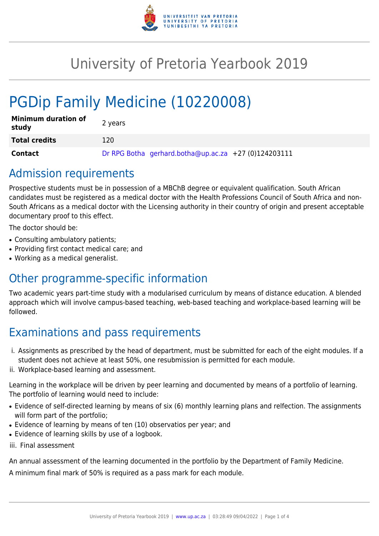

# University of Pretoria Yearbook 2019

# PGDip Family Medicine (10220008)

| <b>Minimum duration of</b><br>study | 2 years                                              |
|-------------------------------------|------------------------------------------------------|
| <b>Total credits</b>                | 120                                                  |
| <b>Contact</b>                      | Dr RPG Botha gerhard.botha@up.ac.za +27 (0)124203111 |

## Admission requirements

Prospective students must be in possession of a MBChB degree or equivalent qualification. South African candidates must be registered as a medical doctor with the Health Professions Council of South Africa and non-South Africans as a medical doctor with the Licensing authority in their country of origin and present acceptable documentary proof to this effect.

The doctor should be:

- Consulting ambulatory patients;
- Providing first contact medical care; and
- Working as a medical generalist.

## Other programme-specific information

Two academic years part-time study with a modularised curriculum by means of distance education. A blended approach which will involve campus-based teaching, web-based teaching and workplace-based learning will be followed.

# Examinations and pass requirements

- i. Assignments as prescribed by the head of department, must be submitted for each of the eight modules. If a student does not achieve at least 50%, one resubmission is permitted for each module.
- ii. Workplace-based learning and assessment.

Learning in the workplace will be driven by peer learning and documented by means of a portfolio of learning. The portfolio of learning would need to include:

- Evidence of self-directed learning by means of six (6) monthly learning plans and relfection. The assignments will form part of the portfolio;
- Evidence of learning by means of ten (10) observatios per year; and
- Evidence of learning skills by use of a logbook.
- iii. Final assessment

An annual assessment of the learning documented in the portfolio by the Department of Family Medicine.

A minimum final mark of 50% is required as a pass mark for each module.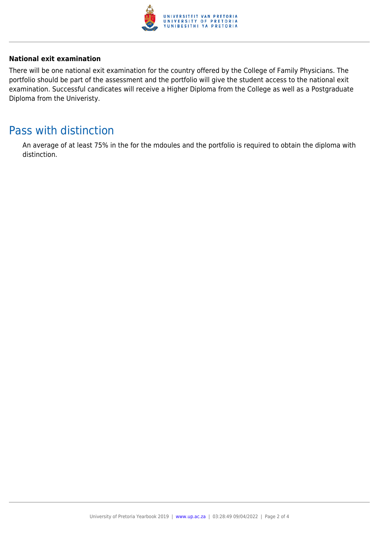

#### **National exit examination**

There will be one national exit examination for the country offered by the College of Family Physicians. The portfolio should be part of the assessment and the portfolio will give the student access to the national exit examination. Successful candicates will receive a Higher Diploma from the College as well as a Postgraduate Diploma from the Univeristy.

### Pass with distinction

An average of at least 75% in the for the mdoules and the portfolio is required to obtain the diploma with distinction.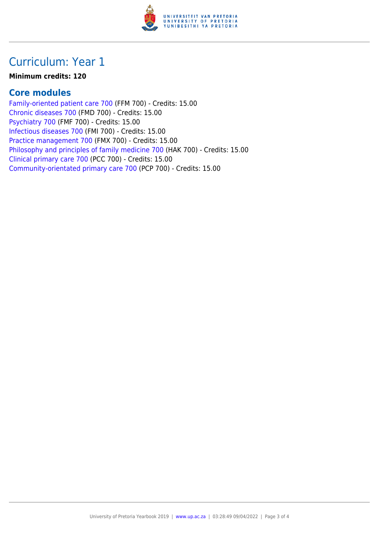

## Curriculum: Year 1

#### **Minimum credits: 120**

#### **Core modules**

[Family-oriented patient care 700](https://www.up.ac.za/faculty-of-education/yearbooks/2019/modules/view/FFM 700) (FFM 700) - Credits: 15.00 [Chronic diseases 700](https://www.up.ac.za/faculty-of-education/yearbooks/2019/modules/view/FMD 700) (FMD 700) - Credits: 15.00 [Psychiatry 700](https://www.up.ac.za/faculty-of-education/yearbooks/2019/modules/view/FMF 700) (FMF 700) - Credits: 15.00 [Infectious diseases 700](https://www.up.ac.za/faculty-of-education/yearbooks/2019/modules/view/FMI 700) (FMI 700) - Credits: 15.00 [Practice management 700](https://www.up.ac.za/faculty-of-education/yearbooks/2019/modules/view/FMX 700) (FMX 700) - Credits: 15.00 [Philosophy and principles of family medicine 700](https://www.up.ac.za/faculty-of-education/yearbooks/2019/modules/view/HAK 700) (HAK 700) - Credits: 15.00 [Clinical primary care 700](https://www.up.ac.za/faculty-of-education/yearbooks/2019/modules/view/PCC 700) (PCC 700) - Credits: 15.00 [Community-orientated primary care 700](https://www.up.ac.za/faculty-of-education/yearbooks/2019/modules/view/PCP 700) (PCP 700) - Credits: 15.00